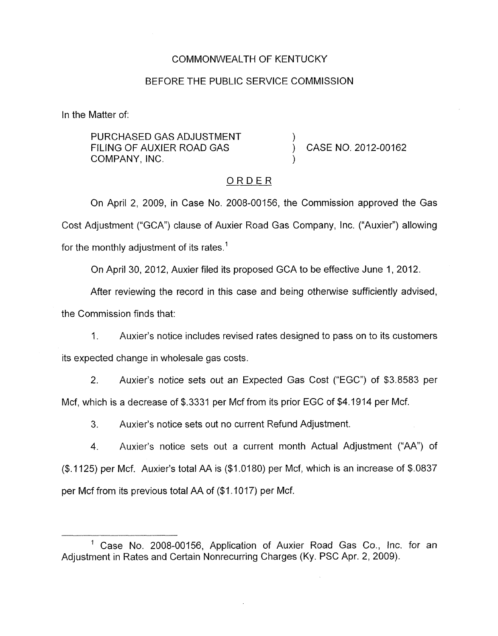### COMMONWEALTH OF KENTUCKY

### BEFORE THE PUBLIC SERVICE COMMISSION

In the Matter of:

PURCHASED GAS ADJUSTMENT FILING OF AUXIER ROAD GAS  $\overrightarrow{O}$  CASE NO. 2012-00162 COMPANY, INC.

#### ORDER

On April 2, 2009, in Case No. 2008-00156, the Commission approved the Gas Cost Adjustment ("GCA") clause of Auxier Road Gas Company, Inc. ("Auxier") allowing for the monthly adjustment of its rates.<sup>1</sup>

On April 30, 2012, Auxier filed its proposed GCA to be effective June 1, 2012.

After reviewing the record in this case and being otherwise sufficiently advised,

the Commission finds that:

1. Auxier's notice includes revised rates designed to pass on to its customers its expected change in wholesale gas costs.

2. Auxier's notice sets out an Expected Gas Cost ("EGC") of \$3.8583 per Mcf, which is a decrease of \$.3331 per Mcf from its prior EGC of \$4.1914 per Mcf.

3. Auxier's notice sets out no current Refund Adjustment.

4. Auxier's notice sets out a current month Actual Adjustment ("AA") of **(\$.A** 125) per Mcf. Auxier's total AA is (\$1,0180) per Mcf, which is an increase of \$.0837 per Mcf from its previous total AA of (\$1.1017) per Mcf.

<sup>&</sup>lt;sup>1</sup> Case No. 2008-00156, Application of Auxier Road Gas Co., Inc. for an Adjustment in Rates and Certain Nonrecurring Charges (Ky. PSC Apr. 2, 2009).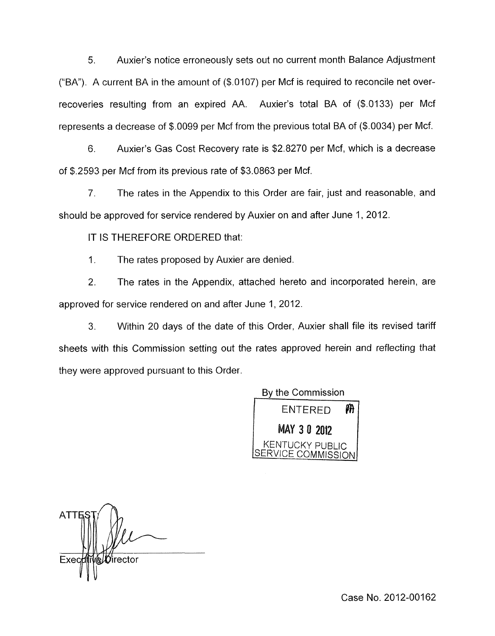5. Auxier's notice erroneously sets out no current month Balance Adjustment ("BA"). A current BA in the amount of  $(\$.0107)$  per Mcf is required to reconcile net overrecoveries resulting from an expired AA. Auxier's total BA of (\$.0133) per Mcf represents a decrease of \$.0099 per Mcf from the previous total BA of (\$.0034) per Mcf.

6. Auxier's Gas Cost Recovery rate is \$2.8270 per Mcf, which is a decrease of \$.2593 per Mcf from its previous rate of \$3.0863 per Mcf.

7. The rates in the Appendix to this Order are fair, just and reasonable, and should be approved for service rendered by Auxier on and after June 1, 2012

IT IS THEREFORE ORDERED that:

1. The rates proposed by Auxier are denied.

2. The rates in the Appendix, attached hereto and incorporated herein, are approved for service rendered on and after June 1, 2012.

3. Within 20 days of the date of this Order, Auxier shall file its revised tariff sheets with this Commission setting out the rates approved herein and reflecting that they were approved pursuant to this Order.

> By the Commission m **ENTERED** MAY 30 2012 KENTUCKY PUBLIC | **ICE COMMISSION**

**ATTI** Exed ∕irector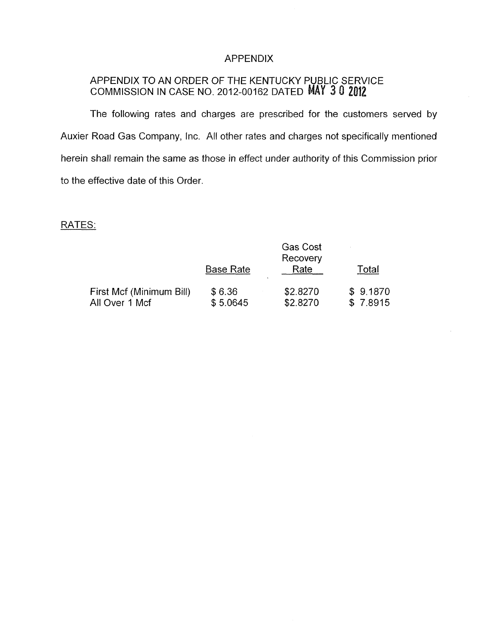## APPENDIX

### APPENDIX TO AN ORDER OF THE KENTUCKY PUBLIC SERVICE COMMISSION IN CASE NO. 2012-00162 DATED

The following rates and charges are prescribed for the customers served by Auxier Road Gas Company, Inc. All other rates and charges not specifically mentioned herein shall remain the same as those in effect under authority of this Commission prior to the effective date of this Order.

# RATES:

|                                            |                    | <b>Gas Cost</b><br>Recovery |                      |
|--------------------------------------------|--------------------|-----------------------------|----------------------|
|                                            | <b>Base Rate</b>   | Rate                        | Total                |
| First Mcf (Minimum Bill)<br>All Over 1 Mcf | \$6.36<br>\$5.0645 | \$2.8270<br>\$2.8270        | \$9.1870<br>\$7.8915 |